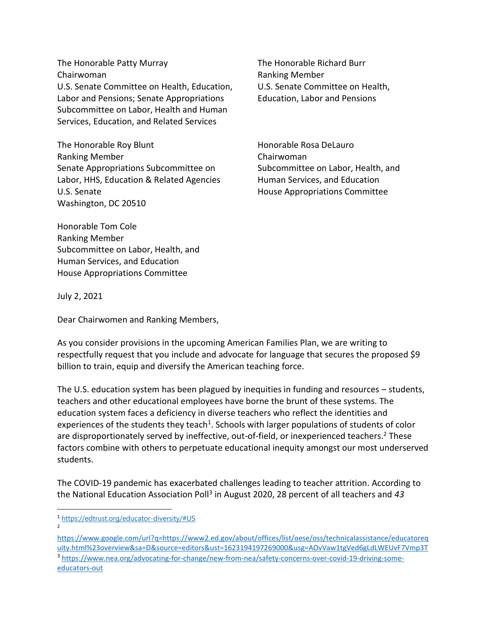The Honorable Patty Murray The Honorable Richard Burr Chairwoman **Ranking Member** Ranking Member U.S. Senate Committee on Health, Education, U.S. Senate Committee on Health, Labor and Pensions; Senate Appropriations Education, Labor and Pensions Subcommittee on Labor, Health and Human Services, Education, and Related Services

The Honorable Roy Blunt **Honorable Rosa DeLauro** Honorable Rosa DeLauro Ranking Member **Chairwoman** Senate Appropriations Subcommittee on Subcommittee on Labor, Health, and Labor, HHS, Education & Related Agencies Human Services, and Education U.S. Senate **House Appropriations Committee** Washington, DC 20510

Honorable Tom Cole Ranking Member Subcommittee on Labor, Health, and Human Services, and Education House Appropriations Committee

July 2, 2021

2

Dear Chairwomen and Ranking Members,

As you consider provisions in the upcoming American Families Plan, we are writing to respectfully request that you include and advocate for language that secures the proposed \$9 billion to train, equip and diversify the American teaching force.

The U.S. education system has been plagued by inequities in funding and resources – students, teachers and other educational employees have borne the brunt of these systems. The education system faces a deficiency in diverse teachers who reflect the identities and experiences of the students they teach<sup>1</sup>. Schools with larger populations of students of color are disproportionately served by ineffective, out-of-field, or inexperienced teachers.<sup>2</sup> These factors combine with others to perpetuate educational inequity amongst our most underserved students.

The COVID-19 pandemic has exacerbated challenges leading to teacher attrition. According to the National Education Association Poll<sup>3</sup> in August 2020, 28 percent of all teachers and 43

<sup>1</sup> <https://edtrust.org/educator-diversity/#US>

[https://www.google.com/url?q=https://www2.ed.gov/about/offices/list/oese/oss/technicalassistance/educatoreq](https://www.google.com/url?q=https://www2.ed.gov/about/offices/list/oese/oss/technicalassistance/educatorequity.html%23overview&sa=D&source=editors&ust=1623194197269000&usg=AOvVaw1tgVed6gLdLWEUvF7Vmp3T) [uity.html%23overview&sa=D&source=editors&ust=1623194197269000&usg=AOvVaw1tgVed6gLdLWEUvF7Vmp3T](https://www.google.com/url?q=https://www2.ed.gov/about/offices/list/oese/oss/technicalassistance/educatorequity.html%23overview&sa=D&source=editors&ust=1623194197269000&usg=AOvVaw1tgVed6gLdLWEUvF7Vmp3T) <sup>3</sup> [https://www.nea.org/advocating-for-change/new-from-nea/safety-concerns-over-covid-19-driving-some](https://www.nea.org/advocating-for-change/new-from-nea/safety-concerns-over-covid-19-driving-some-educators-out)[educators-out](https://www.nea.org/advocating-for-change/new-from-nea/safety-concerns-over-covid-19-driving-some-educators-out)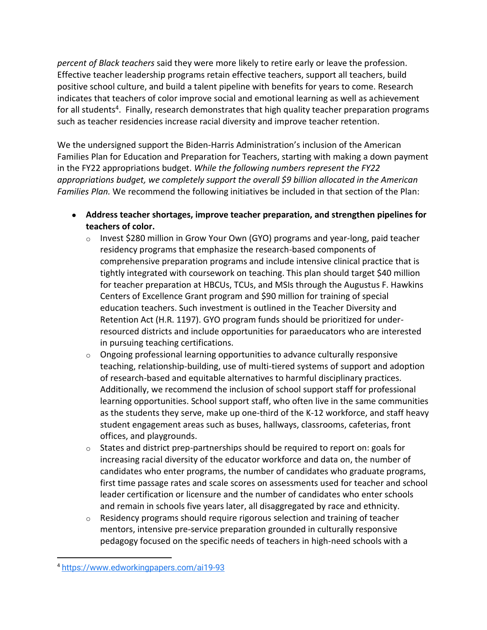*percent of Black teachers* said they were more likely to retire early or leave the profession. Effective teacher leadership programs retain effective teachers, support all teachers, build positive school culture, and build a talent pipeline with benefits for years to come. Research indicates that teachers of color improve social and emotional learning as well as achievement for all students<sup>4</sup>. Finally, research demonstrates that high quality teacher preparation programs such as teacher residencies increase racial diversity and improve teacher retention.

We the undersigned support the Biden-Harris Administration's inclusion of the American Families Plan for Education and Preparation for Teachers, starting with making a down payment in the FY22 appropriations budget. *While the following numbers represent the FY22 appropriations budget, we completely support the overall \$9 billion allocated in the American Families Plan.* We recommend the following initiatives be included in that section of the Plan:

- **Address teacher shortages, improve teacher preparation, and strengthen pipelines for teachers of color.**
	- o Invest \$280 million in Grow Your Own (GYO) programs and year-long, paid teacher residency programs that emphasize the research-based components of comprehensive preparation programs and include intensive clinical practice that is tightly integrated with coursework on teaching. This plan should target \$40 million for teacher preparation at HBCUs, TCUs, and MSIs through the Augustus F. Hawkins Centers of Excellence Grant program and \$90 million for training of special education teachers. Such investment is outlined in the Teacher Diversity and Retention Act (H.R. 1197). GYO program funds should be prioritized for underresourced districts and include opportunities for paraeducators who are interested in pursuing teaching certifications.
	- $\circ$  Ongoing professional learning opportunities to advance culturally responsive teaching, relationship-building, use of multi-tiered systems of support and adoption of research-based and equitable alternatives to harmful disciplinary practices. Additionally, we recommend the inclusion of school support staff for professional learning opportunities. School support staff, who often live in the same communities as the students they serve, make up one-third of the K-12 workforce, and staff heavy student engagement areas such as buses, hallways, classrooms, cafeterias, front offices, and playgrounds.
	- $\circ$  States and district prep-partnerships should be required to report on: goals for increasing racial diversity of the educator workforce and data on, the number of candidates who enter programs, the number of candidates who graduate programs, first time passage rates and scale scores on assessments used for teacher and school leader certification or licensure and the number of candidates who enter schools and remain in schools five years later, all disaggregated by race and ethnicity.
	- $\circ$  Residency programs should require rigorous selection and training of teacher mentors, intensive pre-service preparation grounded in culturally responsive pedagogy focused on the specific needs of teachers in high-need schools with a

<sup>4</sup> <https://www.edworkingpapers.com/ai19-93>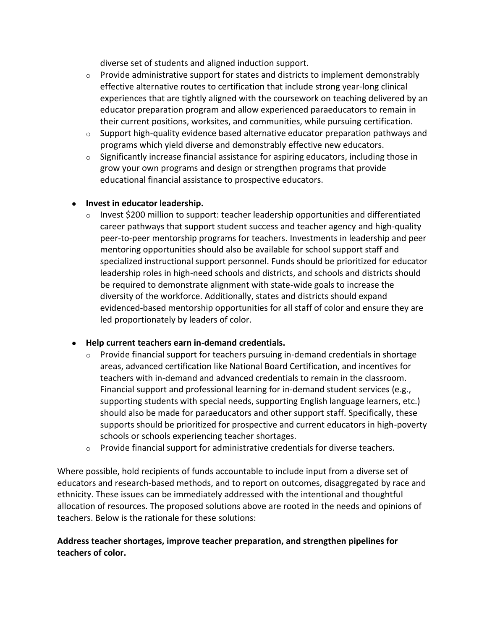diverse set of students and aligned induction support.

- $\circ$  Provide administrative support for states and districts to implement demonstrably effective alternative routes to certification that include strong year-long clinical experiences that are tightly aligned with the coursework on teaching delivered by an educator preparation program and allow experienced paraeducators to remain in their current positions, worksites, and communities, while pursuing certification.
- $\circ$  Support high-quality evidence based alternative educator preparation pathways and programs which yield diverse and demonstrably effective new educators.
- $\circ$  Significantly increase financial assistance for aspiring educators, including those in grow your own programs and design or strengthen programs that provide educational financial assistance to prospective educators.

## ● **Invest in educator leadership.**

 $\circ$  Invest \$200 million to support: teacher leadership opportunities and differentiated career pathways that support student success and teacher agency and high-quality peer-to-peer mentorship programs for teachers. Investments in leadership and peer mentoring opportunities should also be available for school support staff and specialized instructional support personnel. Funds should be prioritized for educator leadership roles in high-need schools and districts, and schools and districts should be required to demonstrate alignment with state-wide goals to increase the diversity of the workforce. Additionally, states and districts should expand evidenced-based mentorship opportunities for all staff of color and ensure they are led proportionately by leaders of color.

# ● **Help current teachers earn in-demand credentials.**

- $\circ$  Provide financial support for teachers pursuing in-demand credentials in shortage areas, advanced certification like National Board Certification, and incentives for teachers with in-demand and advanced credentials to remain in the classroom. Financial support and professional learning for in-demand student services (e.g., supporting students with special needs, supporting English language learners, etc.) should also be made for paraeducators and other support staff. Specifically, these supports should be prioritized for prospective and current educators in high-poverty schools or schools experiencing teacher shortages.
- $\circ$  Provide financial support for administrative credentials for diverse teachers.

Where possible, hold recipients of funds accountable to include input from a diverse set of educators and research-based methods, and to report on outcomes, disaggregated by race and ethnicity. These issues can be immediately addressed with the intentional and thoughtful allocation of resources. The proposed solutions above are rooted in the needs and opinions of teachers. Below is the rationale for these solutions:

# **Address teacher shortages, improve teacher preparation, and strengthen pipelines for teachers of color.**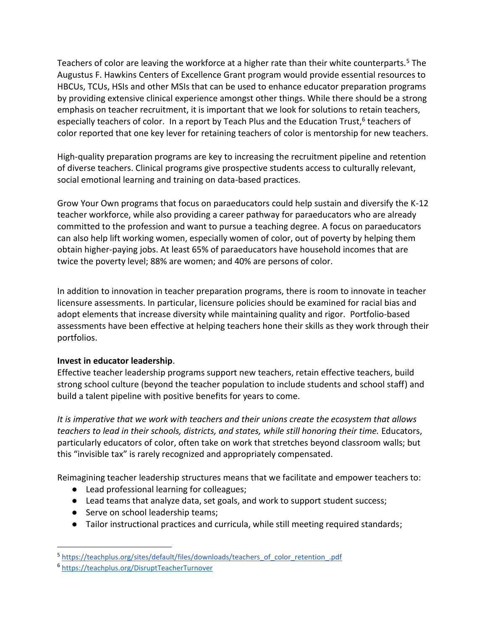Teachers of color are leaving the workforce at a higher rate than their white counterparts.<sup>5</sup> The Augustus F. Hawkins Centers of Excellence Grant program would provide essential resources to HBCUs, TCUs, HSIs and other MSIs that can be used to enhance educator preparation programs by providing extensive clinical experience amongst other things. While there should be a strong emphasis on teacher recruitment, it is important that we look for solutions to retain teachers, especially teachers of color. In a report by Teach Plus and the Education Trust,<sup>6</sup> teachers of color reported that one key lever for retaining teachers of color is mentorship for new teachers.

High-quality preparation programs are key to increasing the recruitment pipeline and retention of diverse teachers. Clinical programs give prospective students access to culturally relevant, social emotional learning and training on data-based practices.

Grow Your Own programs that focus on paraeducators could help sustain and diversify the K-12 teacher workforce, while also providing a career pathway for paraeducators who are already committed to the profession and want to pursue a teaching degree. A focus on paraeducators can also help lift working women, especially women of color, out of poverty by helping them obtain higher-paying jobs. At least 65% of paraeducators have household incomes that are twice the poverty level; 88% are women; and 40% are persons of color.

In addition to innovation in teacher preparation programs, there is room to innovate in teacher licensure assessments. In particular, licensure policies should be examined for racial bias and adopt elements that increase diversity while maintaining quality and rigor. Portfolio-based assessments have been effective at helping teachers hone their skills as they work through their portfolios.

# **Invest in educator leadership**.

Effective teacher leadership programs support new teachers, retain effective teachers, build strong school culture (beyond the teacher population to include students and school staff) and build a talent pipeline with positive benefits for years to come.

*It is imperative that we work with teachers and their unions create the ecosystem that allows teachers to lead in their schools, districts, and states, while still honoring their time.* Educators, particularly educators of color, often take on work that stretches beyond classroom walls; but this "invisible tax" is rarely recognized and appropriately compensated.

Reimagining teacher leadership structures means that we facilitate and empower teachers to:

- Lead professional learning for colleagues;
- Lead teams that analyze data, set goals, and work to support student success;
- Serve on school leadership teams;
- Tailor instructional practices and curricula, while still meeting required standards;

<sup>&</sup>lt;sup>5</sup>[https://teachplus.org/sites/default/files/downloads/teachers\\_of\\_color\\_retention\\_.pdf](https://teachplus.org/sites/default/files/downloads/teachers_of_color_retention_.pdf)

<sup>6</sup> <https://teachplus.org/DisruptTeacherTurnover>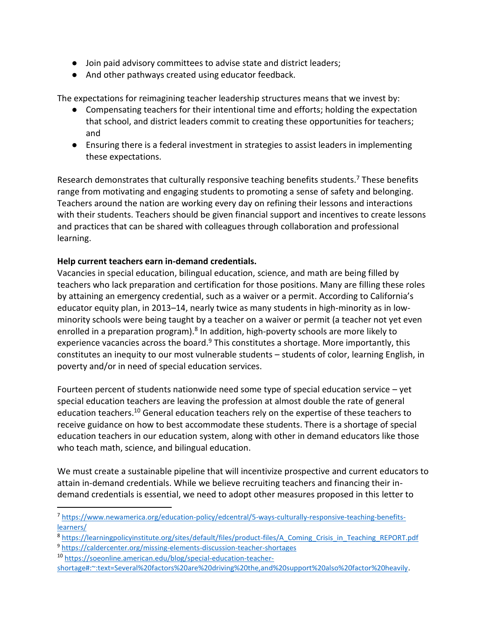- Join paid advisory committees to advise state and district leaders;
- And other pathways created using educator feedback.

The expectations for reimagining teacher leadership structures means that we invest by:

- Compensating teachers for their intentional time and efforts; holding the expectation that school, and district leaders commit to creating these opportunities for teachers; and
- Ensuring there is a federal investment in strategies to assist leaders in implementing these expectations.

Research demonstrates that culturally responsive teaching benefits students.<sup>7</sup> These benefits range from motivating and engaging students to promoting a sense of safety and belonging. Teachers around the nation are working every day on refining their lessons and interactions with their students. Teachers should be given financial support and incentives to create lessons and practices that can be shared with colleagues through collaboration and professional learning.

### **Help current teachers earn in-demand credentials.**

Vacancies in special education, bilingual education, science, and math are being filled by teachers who lack preparation and certification for those positions. Many are filling these roles by attaining an emergency credential, such as a waiver or a permit. According to California's educator equity plan, in 2013–14, nearly twice as many students in high-minority as in lowminority schools were being taught by a teacher on a waiver or permit (a teacher not yet even enrolled in a preparation program).<sup>8</sup> In addition, high-poverty schools are more likely to experience vacancies across the board.<sup>9</sup> This constitutes a shortage. More importantly, this constitutes an inequity to our most vulnerable students – students of color, learning English, in poverty and/or in need of special education services.

Fourteen percent of students nationwide need some type of special education service – yet special education teachers are leaving the profession at almost double the rate of general education teachers.<sup>10</sup> General education teachers rely on the expertise of these teachers to receive guidance on how to best accommodate these students. There is a shortage of special education teachers in our education system, along with other in demand educators like those who teach math, science, and bilingual education.

We must create a sustainable pipeline that will incentivize prospective and current educators to attain in-demand credentials. While we believe recruiting teachers and financing their indemand credentials is essential, we need to adopt other measures proposed in this letter to

<sup>&</sup>lt;sup>7</sup> [https://www.newamerica.org/education-policy/edcentral/5-ways-culturally-responsive-teaching-benefits](https://www.newamerica.org/education-policy/edcentral/5-ways-culturally-responsive-teaching-benefits-learners/)[learners/](https://www.newamerica.org/education-policy/edcentral/5-ways-culturally-responsive-teaching-benefits-learners/)

<sup>&</sup>lt;sup>8</sup> [https://learningpolicyinstitute.org/sites/default/files/product-files/A\\_Coming\\_Crisis\\_in\\_Teaching\\_REPORT.pdf](https://learningpolicyinstitute.org/sites/default/files/product-files/A_Coming_Crisis_in_Teaching_REPORT.pdf)

<sup>9</sup> <https://caldercenter.org/missing-elements-discussion-teacher-shortages>

<sup>10</sup> [https://soeonline.american.edu/blog/special-education-teacher-](https://soeonline.american.edu/blog/special-education-teacher-shortage#:~:text=Several%20factors%20are%20driving%20the,and%20support%20also%20factor%20heavily)

[shortage#:~:text=Several%20factors%20are%20driving%20the,and%20support%20also%20factor%20heavily.](https://soeonline.american.edu/blog/special-education-teacher-shortage#:~:text=Several%20factors%20are%20driving%20the,and%20support%20also%20factor%20heavily)